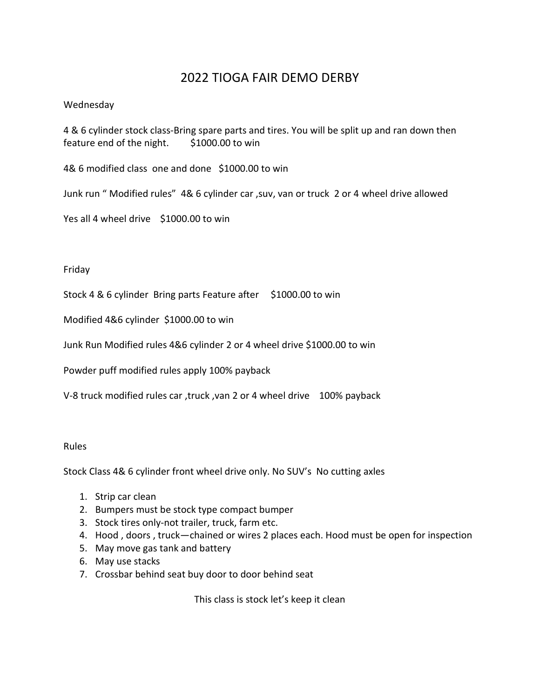## 2022 TIOGA FAIR DEMO DERBY

#### Wednesday

4 & 6 cylinder stock class-Bring spare parts and tires. You will be split up and ran down then feature end of the night.  $$1000.00$  to win

4& 6 modified class one and done \$1000.00 to win

Junk run " Modified rules" 4& 6 cylinder car ,suv, van or truck 2 or 4 wheel drive allowed

Yes all 4 wheel drive \$1000.00 to win

#### Friday

Stock 4 & 6 cylinder Bring parts Feature after \$1000.00 to win

Modified 4&6 cylinder \$1000.00 to win

Junk Run Modified rules 4&6 cylinder 2 or 4 wheel drive \$1000.00 to win

Powder puff modified rules apply 100% payback

V-8 truck modified rules car ,truck ,van 2 or 4 wheel drive 100% payback

#### Rules

Stock Class 4& 6 cylinder front wheel drive only. No SUV's No cutting axles

- 1. Strip car clean
- 2. Bumpers must be stock type compact bumper
- 3. Stock tires only-not trailer, truck, farm etc.
- 4. Hood , doors , truck—chained or wires 2 places each. Hood must be open for inspection
- 5. May move gas tank and battery
- 6. May use stacks
- 7. Crossbar behind seat buy door to door behind seat

This class is stock let's keep it clean